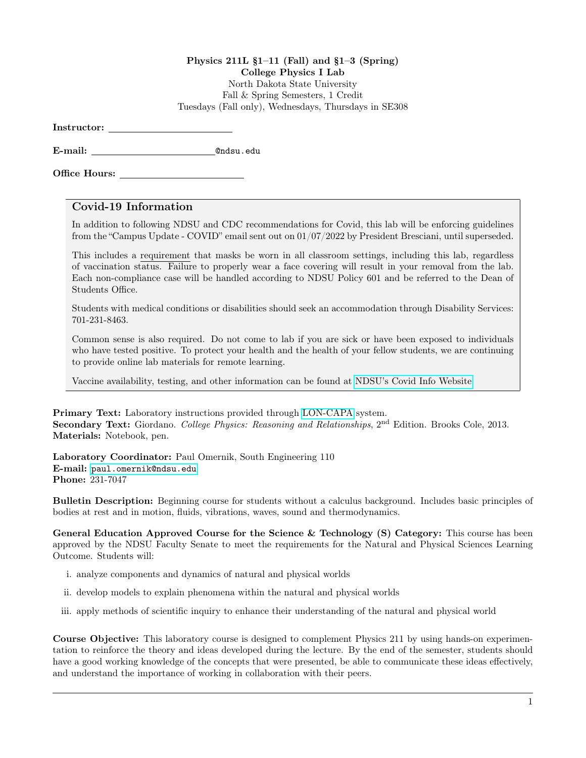## Physics 211L §1–11 (Fall) and §1–3 (Spring) College Physics I Lab North Dakota State University Fall & Spring Semesters, 1 Credit Tuesdays (Fall only), Wednesdays, Thursdays in SE308

Instructor:

E-mail: @ndsu.edu

Office Hours:

## Covid-19 Information

In addition to following NDSU and CDC recommendations for Covid, this lab will be enforcing guidelines from the "Campus Update - COVID" email sent out on 01/07/2022 by President Bresciani, until superseded.

This includes a requirement that masks be worn in all classroom settings, including this lab, regardless of vaccination status. Failure to properly wear a face covering will result in your removal from the lab. Each non-compliance case will be handled according to NDSU Policy 601 and be referred to the Dean of Students Office.

Students with medical conditions or disabilities should seek an accommodation through Disability Services: 701-231-8463.

Common sense is also required. Do not come to lab if you are sick or have been exposed to individuals who have tested positive. To protect your health and the health of your fellow students, we are continuing to provide online lab materials for remote learning.

Vaccine availability, testing, and other information can be found at [NDSU's Covid Info Website.](https://www.ndsu.edu/studenthealthservice/patient_resources/covid_19_information/)

Primary Text: Laboratory instructions provided through [LON-CAPA](https://www.ndsu.edu/physics/students/lon_capa/#c38395) system. Secondary Text: Giordano. College Physics: Reasoning and Relationships, 2<sup>nd</sup> Edition. Brooks Cole, 2013. Materials: Notebook, pen.

Laboratory Coordinator: Paul Omernik, South Engineering 110 E-mail: <paul.omernik@ndsu.edu> Phone: 231-7047

Bulletin Description: Beginning course for students without a calculus background. Includes basic principles of bodies at rest and in motion, fluids, vibrations, waves, sound and thermodynamics.

General Education Approved Course for the Science & Technology (S) Category: This course has been approved by the NDSU Faculty Senate to meet the requirements for the Natural and Physical Sciences Learning Outcome. Students will:

- i. analyze components and dynamics of natural and physical worlds
- ii. develop models to explain phenomena within the natural and physical worlds
- iii. apply methods of scientific inquiry to enhance their understanding of the natural and physical world

Course Objective: This laboratory course is designed to complement Physics 211 by using hands-on experimentation to reinforce the theory and ideas developed during the lecture. By the end of the semester, students should have a good working knowledge of the concepts that were presented, be able to communicate these ideas effectively, and understand the importance of working in collaboration with their peers.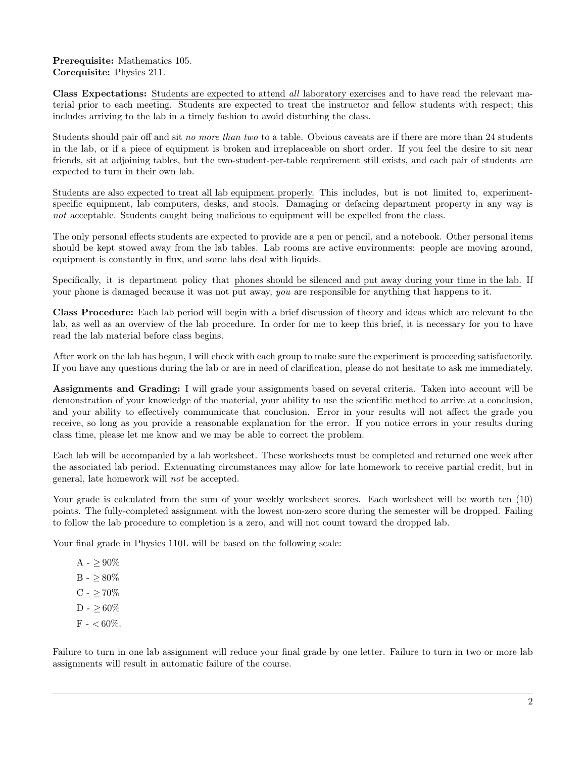## Prerequisite: Mathematics 105. Corequisite: Physics 211.

Class Expectations: Students are expected to attend all laboratory exercises and to have read the relevant material prior to each meeting. Students are expected to treat the instructor and fellow students with respect; this includes arriving to the lab in a timely fashion to avoid disturbing the class.

Students should pair off and sit no more than two to a table. Obvious caveats are if there are more than 24 students in the lab, or if a piece of equipment is broken and irreplaceable on short order. If you feel the desire to sit near friends, sit at adjoining tables, but the two-student-per-table requirement still exists, and each pair of students are expected to turn in their own lab.

Students are also expected to treat all lab equipment properly. This includes, but is not limited to, experimentspecific equipment, lab computers, desks, and stools. Damaging or defacing department property in any way is not acceptable. Students caught being malicious to equipment will be expelled from the class.

The only personal effects students are expected to provide are a pen or pencil, and a notebook. Other personal items should be kept stowed away from the lab tables. Lab rooms are active environments: people are moving around, equipment is constantly in flux, and some labs deal with liquids.

Specifically, it is department policy that phones should be silenced and put away during your time in the lab. If your phone is damaged because it was not put away, you are responsible for anything that happens to it.

Class Procedure: Each lab period will begin with a brief discussion of theory and ideas which are relevant to the lab, as well as an overview of the lab procedure. In order for me to keep this brief, it is necessary for you to have read the lab material before class begins.

After work on the lab has begun, I will check with each group to make sure the experiment is proceeding satisfactorily. If you have any questions during the lab or are in need of clarification, please do not hesitate to ask me immediately.

Assignments and Grading: I will grade your assignments based on several criteria. Taken into account will be demonstration of your knowledge of the material, your ability to use the scientific method to arrive at a conclusion, and your ability to effectively communicate that conclusion. Error in your results will not affect the grade you receive, so long as you provide a reasonable explanation for the error. If you notice errors in your results during class time, please let me know and we may be able to correct the problem.

Each lab will be accompanied by a lab worksheet. These worksheets must be completed and returned one week after the associated lab period. Extenuating circumstances may allow for late homework to receive partial credit, but in general, late homework will not be accepted.

Your grade is calculated from the sum of your weekly worksheet scores. Each worksheet will be worth ten (10) points. The fully-completed assignment with the lowest non-zero score during the semester will be dropped. Failing to follow the lab procedure to completion is a zero, and will not count toward the dropped lab.

Your final grade in Physics 110L will be based on the following scale:

A -  $\geq 90\%$ B -  $\geq 80\%$ C -  $\geq 70\%$  $D - > 60\%$  $F - < 60\%$ .

Failure to turn in one lab assignment will reduce your final grade by one letter. Failure to turn in two or more lab assignments will result in automatic failure of the course.